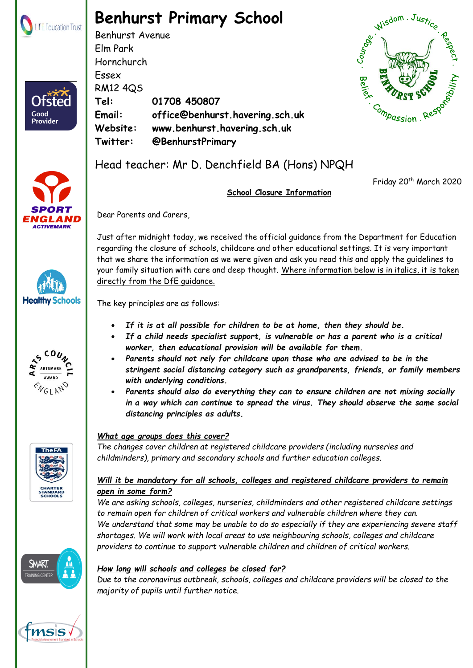

Ofster

Good **Provider** 

# **Benhurst Primary School**

Benhurst Avenue Elm Park Hornchurch Essex RM12 4QS **Tel: 01708 450807 Email: office@benhurst.havering.sch.uk Website: www.benhurst.havering.sch.uk Twitter: @BenhurstPrimary**







Friday 20<sup>th</sup> March 2020

## **School Closure Information**

Dear Parents and Carers,

Just after midnight today, we received the official guidance from the Department for Education regarding the closure of schools, childcare and other educational settings. It is very important that we share the information as we were given and ask you read this and apply the guidelines to your family situation with care and deep thought. Where information below is in italics, it is taken directly from the DfE guidance.

The key principles are as follows:

- *If it is at all possible for children to be at home, then they should be.*
- *If a child needs specialist support, is vulnerable or has a parent who is a critical worker, then educational provision will be available for them.*
- *Parents should not rely for childcare upon those who are advised to be in the stringent social distancing category such as grandparents, friends, or family members with underlying conditions.*
- *Parents should also do everything they can to ensure children are not mixing socially in a way which can continue to spread the virus. They should observe the same social distancing principles as adults.*



**SMART TRAINING CENTE** 

# *What age groups does this cover?*

*The changes cover children at registered childcare providers (including nurseries and childminders), primary and secondary schools and further education colleges.* 

#### *Will it be mandatory for all schools, colleges and registered childcare providers to remain open in some form?*

*We are asking schools, colleges, nurseries, childminders and other registered childcare settings to remain open for children of critical workers and vulnerable children where they can. We understand that some may be unable to do so especially if they are experiencing severe staff shortages. We will work with local areas to use neighbouring schools, colleges and childcare providers to continue to support vulnerable children and children of critical workers.*

## *How long will schools and colleges be closed for?*

*Due to the coronavirus outbreak, schools, colleges and childcare providers will be closed to the majority of pupils until further notice.*

 $\mathcal{B}$  . The life Education Trust. Registered in England  $\mathcal{B}$ Registered Address: The Frances Bardsley Academy for Girls, Brentwood Road, Romford. Essex. RM1 2RR



**Healthy Schools** 

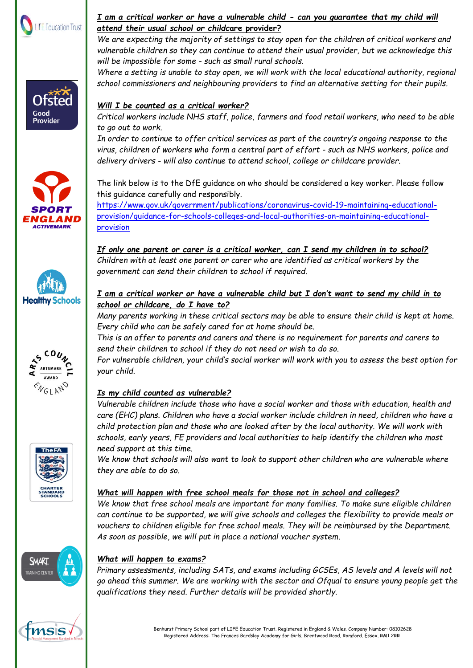











#### *I am a critical worker or have a vulnerable child - can you guarantee that my child will attend their usual school or childc***are provider?**

*We are expecting the majority of settings to stay open for the children of critical workers and vulnerable children so they can continue to attend their usual provider, but we acknowledge this will be impossible for some - such as small rural schools.*

*Where a setting is unable to stay open, we will work with the local educational authority, regional school commissioners and neighbouring providers to find an alternative setting for their pupils.*

## *Will I be counted as a critical worker?*

*Critical workers include NHS staff, police, farmers and food retail workers, who need to be able to go out to work.*

*In order to continue to offer critical services as part of the country's ongoing response to the virus, children of workers who form a central part of effort - such as NHS workers, police and delivery drivers - will also continue to attend school, college or childcare provider.*

The link below is to the DfE guidance on who should be considered a key worker. Please follow this guidance carefully and responsibly.

[https://www.gov.uk/government/publications/coronavirus-covid-19-maintaining-educational](https://www.gov.uk/government/publications/coronavirus-covid-19-maintaining-educational-provision/guidance-for-schools-colleges-and-local-authorities-on-maintaining-educational-provision)[provision/guidance-for-schools-colleges-and-local-authorities-on-maintaining-educational](https://www.gov.uk/government/publications/coronavirus-covid-19-maintaining-educational-provision/guidance-for-schools-colleges-and-local-authorities-on-maintaining-educational-provision)[provision](https://www.gov.uk/government/publications/coronavirus-covid-19-maintaining-educational-provision/guidance-for-schools-colleges-and-local-authorities-on-maintaining-educational-provision)

*If only one parent or carer is a critical worker, can I send my children in to school? Children with at least one parent or carer who are identified as critical workers by the government can send their children to school if required.*

#### *I am a critical worker or have a vulnerable child but I don't want to send my child in to school or childcare, do I have to?*

*Many parents working in these critical sectors may be able to ensure their child is kept at home. Every child who can be safely cared for at home should be.*

*This is an offer to parents and carers and there is no requirement for parents and carers to send their children to school if they do not need or wish to do so.*

*For vulnerable children, your child's social worker will work with you to assess the best option for your child.*

# *Is my child counted as vulnerable?*

*Vulnerable children include those who have a social worker and those with education, health and care (EHC) plans. Children who have a social worker include children in need, children who have a child protection plan and those who are looked after by the local authority. We will work with schools, early years, FE providers and local authorities to help identify the children who most need support at this time.*

*We know that schools will also want to look to support other children who are vulnerable where they are able to do so.*

#### *What will happen with free school meals for those not in school and colleges?*

*We know that free school meals are important for many families. To make sure eligible children can continue to be supported, we will give schools and colleges the flexibility to provide meals or vouchers to children eligible for free school meals. They will be reimbursed by the Department. As soon as possible, we will put in place a national voucher system.*



## *What will happen to exams?*

*Primary assessments, including SATs, and exams including GCSEs, AS levels and A levels will not go ahead this summer. We are working with the sector and Ofqual to ensure young people get the qualifications they need. Further details will be provided shortly.*